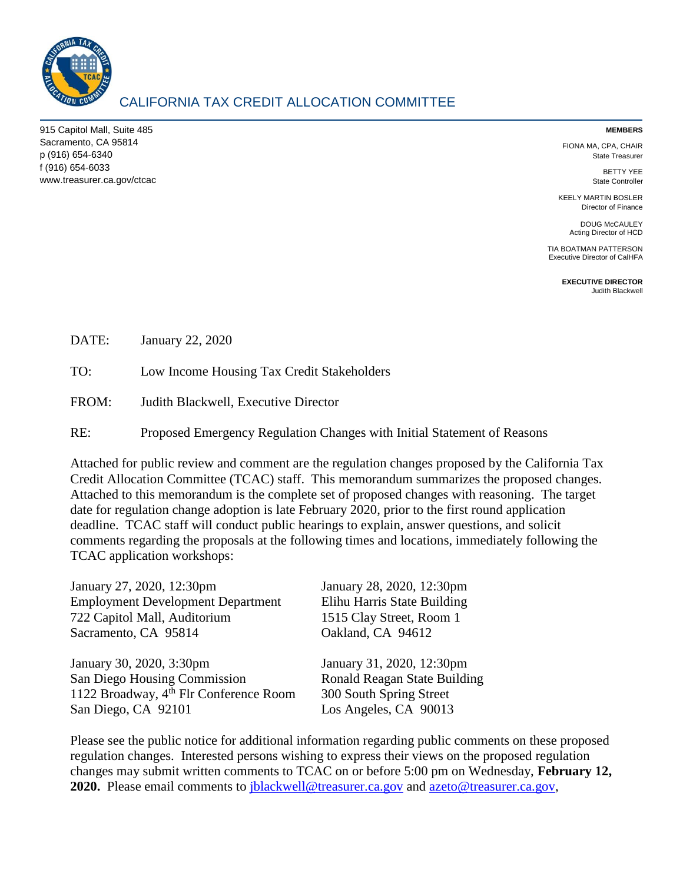

# CALIFORNIA TAX CREDIT ALLOCATION COMMITTEE

915 Capitol Mall, Suite 485 Sacramento, CA 95814 p (916) 654-6340 f (916) 654-6033 www.treasurer.ca.gov/ctcac

#### **MEMBERS**

FIONA MA, CPA, CHAIR State Treasurer

> BETTY YEE State Controller

KEELY MARTIN BOSLER Director of Finance

> DOUG McCAULEY Acting Director of HCD

TIA BOATMAN PATTERSON Executive Director of CalHFA

> **EXECUTIVE DIRECTOR** Judith Blackwell

DATE: January 22, 2020

TO: Low Income Housing Tax Credit Stakeholders

FROM: Judith Blackwell, Executive Director

RE: Proposed Emergency Regulation Changes with Initial Statement of Reasons

Attached for public review and comment are the regulation changes proposed by the California Tax Credit Allocation Committee (TCAC) staff. This memorandum summarizes the proposed changes. Attached to this memorandum is the complete set of proposed changes with reasoning. The target date for regulation change adoption is late February 2020, prior to the first round application deadline. TCAC staff will conduct public hearings to explain, answer questions, and solicit comments regarding the proposals at the following times and locations, immediately following the TCAC application workshops:

| January 27, 2020, 12:30pm                          | January 28, 2020, 12:30pm    |
|----------------------------------------------------|------------------------------|
| <b>Employment Development Department</b>           | Elihu Harris State Building  |
| 722 Capitol Mall, Auditorium                       | 1515 Clay Street, Room 1     |
| Sacramento, CA 95814                               | Oakland, CA 94612            |
| January 30, 2020, 3:30pm                           | January 31, 2020, 12:30pm    |
| San Diego Housing Commission                       | Ronald Reagan State Building |
| 1122 Broadway, 4 <sup>th</sup> Flr Conference Room | 300 South Spring Street      |
| San Diego, CA 92101                                | Los Angeles, CA 90013        |
|                                                    |                              |

Please see the public notice for additional information regarding public comments on these proposed regulation changes. Interested persons wishing to express their views on the proposed regulation changes may submit written comments to TCAC on or before 5:00 pm on Wednesday, **February 12, 2020.** Please email comments to *[jblackwell@treasurer.ca.gov](mailto:jblackwell@treasurer.ca.gov)* and [azeto@treasurer.ca.gov,](mailto:azeto@treasurer.ca.gov)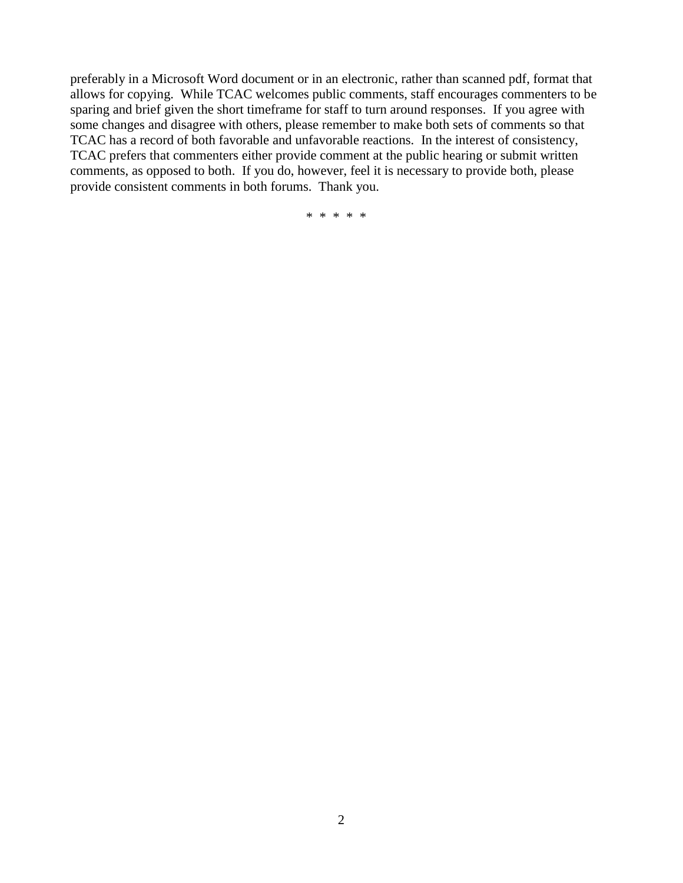preferably in a Microsoft Word document or in an electronic, rather than scanned pdf, format that allows for copying. While TCAC welcomes public comments, staff encourages commenters to be sparing and brief given the short timeframe for staff to turn around responses. If you agree with some changes and disagree with others, please remember to make both sets of comments so that TCAC has a record of both favorable and unfavorable reactions. In the interest of consistency, TCAC prefers that commenters either provide comment at the public hearing or submit written comments, as opposed to both. If you do, however, feel it is necessary to provide both, please provide consistent comments in both forums. Thank you.

\* \* \* \* \*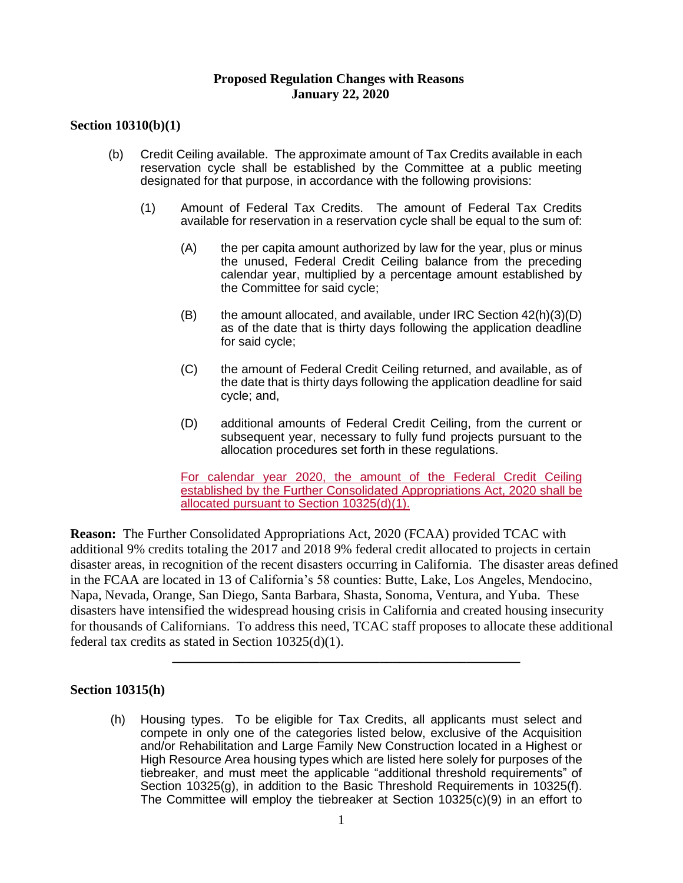### **Proposed Regulation Changes with Reasons January 22, 2020**

## **Section 10310(b)(1)**

- (b) Credit Ceiling available. The approximate amount of Tax Credits available in each reservation cycle shall be established by the Committee at a public meeting designated for that purpose, in accordance with the following provisions:
	- (1) Amount of Federal Tax Credits. The amount of Federal Tax Credits available for reservation in a reservation cycle shall be equal to the sum of:
		- (A) the per capita amount authorized by law for the year, plus or minus the unused, Federal Credit Ceiling balance from the preceding calendar year, multiplied by a percentage amount established by the Committee for said cycle;
		- $(B)$  the amount allocated, and available, under IRC Section  $42(h)(3)(D)$ as of the date that is thirty days following the application deadline for said cycle;
		- (C) the amount of Federal Credit Ceiling returned, and available, as of the date that is thirty days following the application deadline for said cycle; and,
		- (D) additional amounts of Federal Credit Ceiling, from the current or subsequent year, necessary to fully fund projects pursuant to the allocation procedures set forth in these regulations.

For calendar year 2020, the amount of the Federal Credit Ceiling established by the Further Consolidated Appropriations Act, 2020 shall be allocated pursuant to Section 10325(d)(1).

**Reason:** The Further Consolidated Appropriations Act, 2020 (FCAA) provided TCAC with additional 9% credits totaling the 2017 and 2018 9% federal credit allocated to projects in certain disaster areas, in recognition of the recent disasters occurring in California. The disaster areas defined in the FCAA are located in 13 of California's 58 counties: Butte, Lake, Los Angeles, Mendocino, Napa, Nevada, Orange, San Diego, Santa Barbara, Shasta, Sonoma, Ventura, and Yuba. These disasters have intensified the widespread housing crisis in California and created housing insecurity for thousands of Californians. To address this need, TCAC staff proposes to allocate these additional federal tax credits as stated in Section 10325(d)(1).

**\_\_\_\_\_\_\_\_\_\_\_\_\_\_\_\_\_\_\_\_\_\_\_\_\_\_\_\_\_\_\_\_\_\_\_\_\_\_\_\_\_\_\_\_\_\_\_\_\_\_\_\_**

### **Section 10315(h)**

(h) Housing types. To be eligible for Tax Credits, all applicants must select and compete in only one of the categories listed below, exclusive of the Acquisition and/or Rehabilitation and Large Family New Construction located in a Highest or High Resource Area housing types which are listed here solely for purposes of the tiebreaker, and must meet the applicable "additional threshold requirements" of Section 10325(g), in addition to the Basic Threshold Requirements in 10325(f). The Committee will employ the tiebreaker at Section 10325(c)(9) in an effort to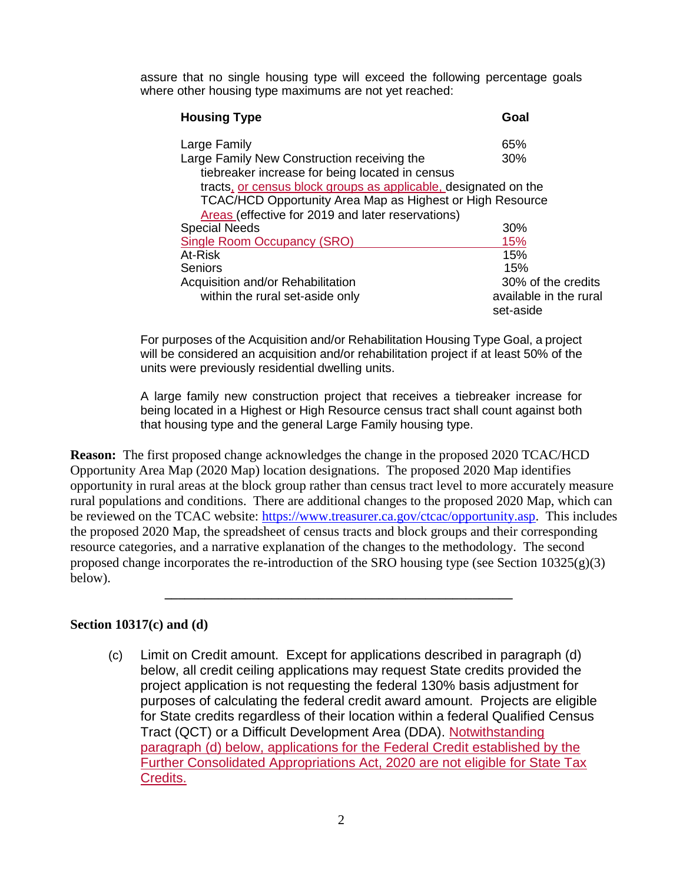assure that no single housing type will exceed the following percentage goals where other housing type maximums are not yet reached:

| <b>Housing Type</b>                                             | Goal                   |
|-----------------------------------------------------------------|------------------------|
| Large Family                                                    | 65%                    |
| Large Family New Construction receiving the                     | 30%                    |
| tiebreaker increase for being located in census                 |                        |
| tracts, or census block groups as applicable, designated on the |                        |
| TCAC/HCD Opportunity Area Map as Highest or High Resource       |                        |
| Areas (effective for 2019 and later reservations)               |                        |
| <b>Special Needs</b>                                            | 30%                    |
| Single Room Occupancy (SRO)                                     | 15%                    |
| At-Risk                                                         | 15%                    |
| Seniors                                                         | 15%                    |
| Acquisition and/or Rehabilitation                               | 30% of the credits     |
| within the rural set-aside only                                 | available in the rural |
|                                                                 | set-aside              |

For purposes of the Acquisition and/or Rehabilitation Housing Type Goal, a project will be considered an acquisition and/or rehabilitation project if at least 50% of the units were previously residential dwelling units.

A large family new construction project that receives a tiebreaker increase for being located in a Highest or High Resource census tract shall count against both that housing type and the general Large Family housing type.

**Reason:** The first proposed change acknowledges the change in the proposed 2020 TCAC/HCD Opportunity Area Map (2020 Map) location designations. The proposed 2020 Map identifies opportunity in rural areas at the block group rather than census tract level to more accurately measure rural populations and conditions. There are additional changes to the proposed 2020 Map, which can be reviewed on the TCAC website: [https://www.treasurer.ca.gov/ctcac/opportunity.asp.](https://www.treasurer.ca.gov/ctcac/opportunity.asp) This includes the proposed 2020 Map, the spreadsheet of census tracts and block groups and their corresponding resource categories, and a narrative explanation of the changes to the methodology. The second proposed change incorporates the re-introduction of the SRO housing type (see Section  $10325(g)(3)$ ) below).

**\_\_\_\_\_\_\_\_\_\_\_\_\_\_\_\_\_\_\_\_\_\_\_\_\_\_\_\_\_\_\_\_\_\_\_\_\_\_\_\_\_\_\_\_\_\_\_\_\_\_\_\_**

### **Section 10317(c) and (d)**

(c) Limit on Credit amount. Except for applications described in paragraph (d) below, all credit ceiling applications may request State credits provided the project application is not requesting the federal 130% basis adjustment for purposes of calculating the federal credit award amount. Projects are eligible for State credits regardless of their location within a federal Qualified Census Tract (QCT) or a Difficult Development Area (DDA). Notwithstanding paragraph (d) below, applications for the Federal Credit established by the Further Consolidated Appropriations Act, 2020 are not eligible for State Tax Credits.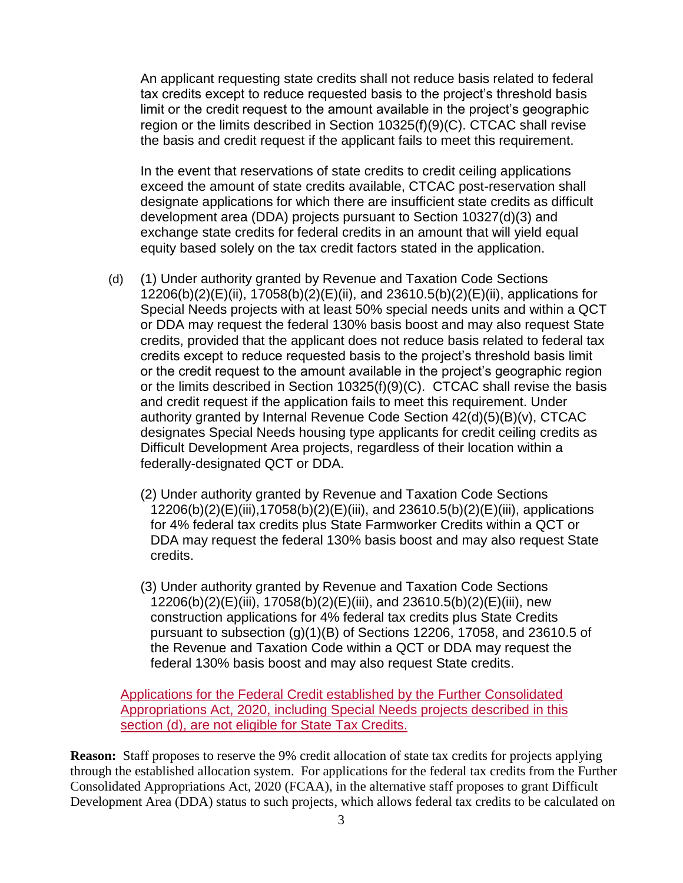An applicant requesting state credits shall not reduce basis related to federal tax credits except to reduce requested basis to the project's threshold basis limit or the credit request to the amount available in the project's geographic region or the limits described in Section 10325(f)(9)(C). CTCAC shall revise the basis and credit request if the applicant fails to meet this requirement.

In the event that reservations of state credits to credit ceiling applications exceed the amount of state credits available, CTCAC post-reservation shall designate applications for which there are insufficient state credits as difficult development area (DDA) projects pursuant to Section 10327(d)(3) and exchange state credits for federal credits in an amount that will yield equal equity based solely on the tax credit factors stated in the application.

- (d) (1) Under authority granted by Revenue and Taxation Code Sections 12206(b)(2)(E)(ii), 17058(b)(2)(E)(ii), and 23610.5(b)(2)(E)(ii), applications for Special Needs projects with at least 50% special needs units and within a QCT or DDA may request the federal 130% basis boost and may also request State credits, provided that the applicant does not reduce basis related to federal tax credits except to reduce requested basis to the project's threshold basis limit or the credit request to the amount available in the project's geographic region or the limits described in Section 10325(f)(9)(C). CTCAC shall revise the basis and credit request if the application fails to meet this requirement. Under authority granted by Internal Revenue Code Section 42(d)(5)(B)(v), CTCAC designates Special Needs housing type applicants for credit ceiling credits as Difficult Development Area projects, regardless of their location within a federally-designated QCT or DDA.
	- (2) Under authority granted by Revenue and Taxation Code Sections 12206(b)(2)(E)(iii),17058(b)(2)(E)(iii), and 23610.5(b)(2)(E)(iii), applications for 4% federal tax credits plus State Farmworker Credits within a QCT or DDA may request the federal 130% basis boost and may also request State credits.
	- (3) Under authority granted by Revenue and Taxation Code Sections 12206(b)(2)(E)(iii), 17058(b)(2)(E)(iii), and 23610.5(b)(2)(E)(iii), new construction applications for 4% federal tax credits plus State Credits pursuant to subsection (g)(1)(B) of Sections 12206, 17058, and 23610.5 of the Revenue and Taxation Code within a QCT or DDA may request the federal 130% basis boost and may also request State credits.

Applications for the Federal Credit established by the Further Consolidated Appropriations Act, 2020, including Special Needs projects described in this section (d), are not eligible for State Tax Credits.

**Reason:** Staff proposes to reserve the 9% credit allocation of state tax credits for projects applying through the established allocation system. For applications for the federal tax credits from the Further Consolidated Appropriations Act, 2020 (FCAA), in the alternative staff proposes to grant Difficult Development Area (DDA) status to such projects, which allows federal tax credits to be calculated on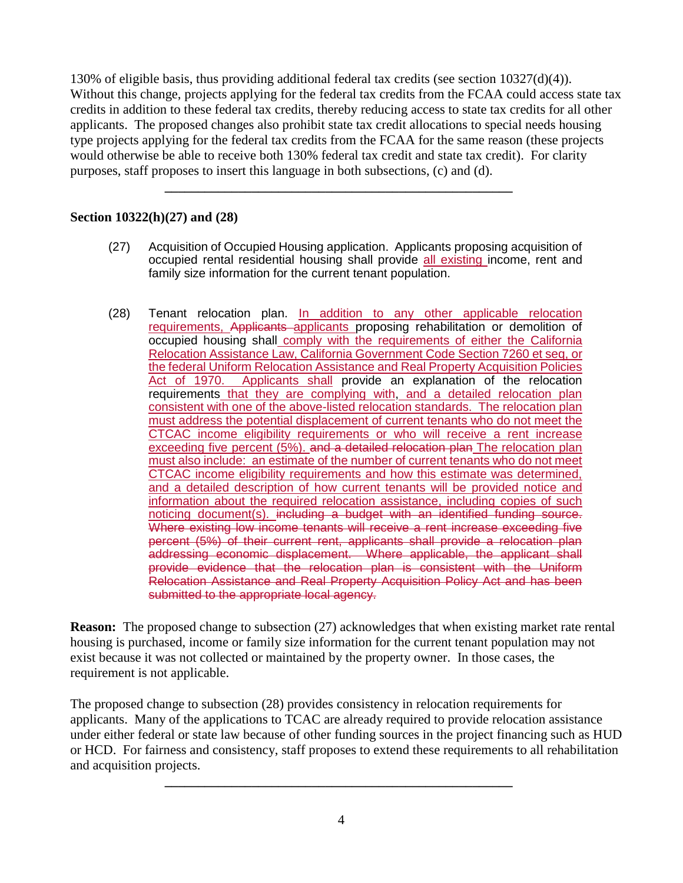130% of eligible basis, thus providing additional federal tax credits (see section 10327(d)(4)). Without this change, projects applying for the federal tax credits from the FCAA could access state tax credits in addition to these federal tax credits, thereby reducing access to state tax credits for all other applicants. The proposed changes also prohibit state tax credit allocations to special needs housing type projects applying for the federal tax credits from the FCAA for the same reason (these projects would otherwise be able to receive both 130% federal tax credit and state tax credit). For clarity purposes, staff proposes to insert this language in both subsections, (c) and (d).

**\_\_\_\_\_\_\_\_\_\_\_\_\_\_\_\_\_\_\_\_\_\_\_\_\_\_\_\_\_\_\_\_\_\_\_\_\_\_\_\_\_\_\_\_\_\_\_\_\_\_\_\_**

# **Section 10322(h)(27) and (28)**

- (27) Acquisition of Occupied Housing application. Applicants proposing acquisition of occupied rental residential housing shall provide all existing income, rent and family size information for the current tenant population.
- (28) Tenant relocation plan. In addition to any other applicable relocation requirements, Applicants applicants proposing rehabilitation or demolition of occupied housing shall comply with the requirements of either the California Relocation Assistance Law, California Government Code Section 7260 et seq, or the federal Uniform Relocation Assistance and Real Property Acquisition Policies Act of 1970. Applicants shall provide an explanation of the relocation requirements that they are complying with, and a detailed relocation plan consistent with one of the above-listed relocation standards. The relocation plan must address the potential displacement of current tenants who do not meet the CTCAC income eligibility requirements or who will receive a rent increase exceeding five percent (5%). and a detailed relocation plan The relocation plan must also include: an estimate of the number of current tenants who do not meet CTCAC income eligibility requirements and how this estimate was determined, and a detailed description of how current tenants will be provided notice and information about the required relocation assistance, including copies of such noticing document(s). including a budget with an identified funding source. Where existing low income tenants will receive a rent increase exceeding five percent (5%) of their current rent, applicants shall provide a relocation plan addressing economic displacement. Where applicable, the applicant shall provide evidence that the relocation plan is consistent with the Uniform Relocation Assistance and Real Property Acquisition Policy Act and has been submitted to the appropriate local agency.

**Reason:** The proposed change to subsection (27) acknowledges that when existing market rate rental housing is purchased, income or family size information for the current tenant population may not exist because it was not collected or maintained by the property owner. In those cases, the requirement is not applicable.

The proposed change to subsection (28) provides consistency in relocation requirements for applicants. Many of the applications to TCAC are already required to provide relocation assistance under either federal or state law because of other funding sources in the project financing such as HUD or HCD. For fairness and consistency, staff proposes to extend these requirements to all rehabilitation and acquisition projects.

**\_\_\_\_\_\_\_\_\_\_\_\_\_\_\_\_\_\_\_\_\_\_\_\_\_\_\_\_\_\_\_\_\_\_\_\_\_\_\_\_\_\_\_\_\_\_\_\_\_\_\_\_**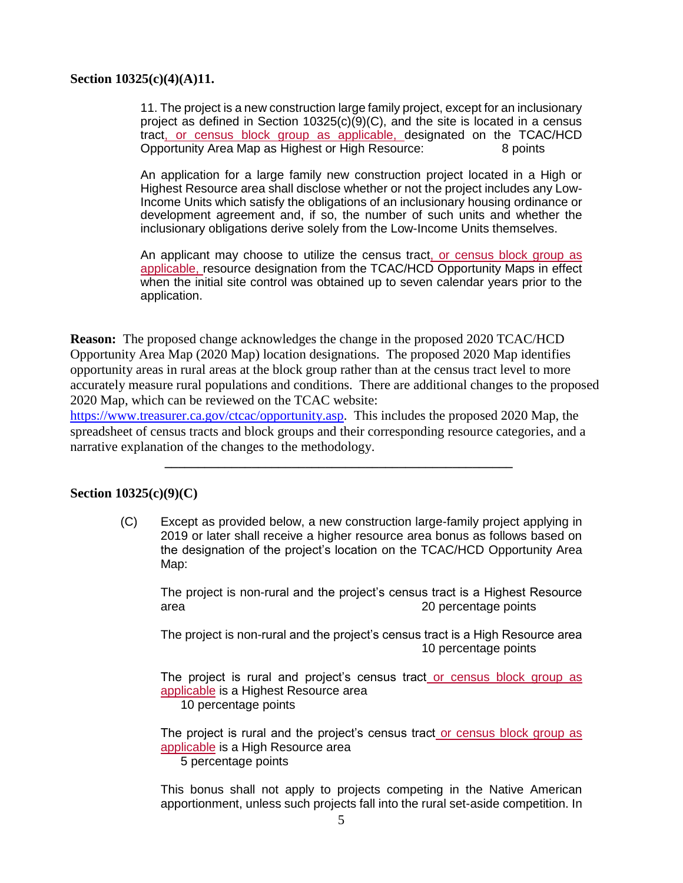#### **Section 10325(c)(4)(A)11.**

11. The project is a new construction large family project, except for an inclusionary project as defined in Section 10325(c)(9)(C), and the site is located in a census tract, or census block group as applicable, designated on the TCAC/HCD Opportunity Area Map as Highest or High Resource: 8 points

An application for a large family new construction project located in a High or Highest Resource area shall disclose whether or not the project includes any Low-Income Units which satisfy the obligations of an inclusionary housing ordinance or development agreement and, if so, the number of such units and whether the inclusionary obligations derive solely from the Low-Income Units themselves.

An applicant may choose to utilize the census tract, or census block group as applicable, resource designation from the TCAC/HCD Opportunity Maps in effect when the initial site control was obtained up to seven calendar years prior to the application.

**Reason:** The proposed change acknowledges the change in the proposed 2020 TCAC/HCD Opportunity Area Map (2020 Map) location designations. The proposed 2020 Map identifies opportunity areas in rural areas at the block group rather than at the census tract level to more accurately measure rural populations and conditions. There are additional changes to the proposed 2020 Map, which can be reviewed on the TCAC website:

[https://www.treasurer.ca.gov/ctcac/opportunity.asp.](https://www.treasurer.ca.gov/ctcac/opportunity.asp) This includes the proposed 2020 Map, the spreadsheet of census tracts and block groups and their corresponding resource categories, and a narrative explanation of the changes to the methodology.

**\_\_\_\_\_\_\_\_\_\_\_\_\_\_\_\_\_\_\_\_\_\_\_\_\_\_\_\_\_\_\_\_\_\_\_\_\_\_\_\_\_\_\_\_\_\_\_\_\_\_\_\_**

#### **Section 10325(c)(9)(C)**

(C) Except as provided below, a new construction large-family project applying in 2019 or later shall receive a higher resource area bonus as follows based on the designation of the project's location on the TCAC/HCD Opportunity Area Map:

The project is non-rural and the project's census tract is a Highest Resource area 20 percentage points

The project is non-rural and the project's census tract is a High Resource area 10 percentage points

The project is rural and project's census tract or census block group as applicable is a Highest Resource area

10 percentage points

The project is rural and the project's census tract or census block group as applicable is a High Resource area

5 percentage points

This bonus shall not apply to projects competing in the Native American apportionment, unless such projects fall into the rural set-aside competition. In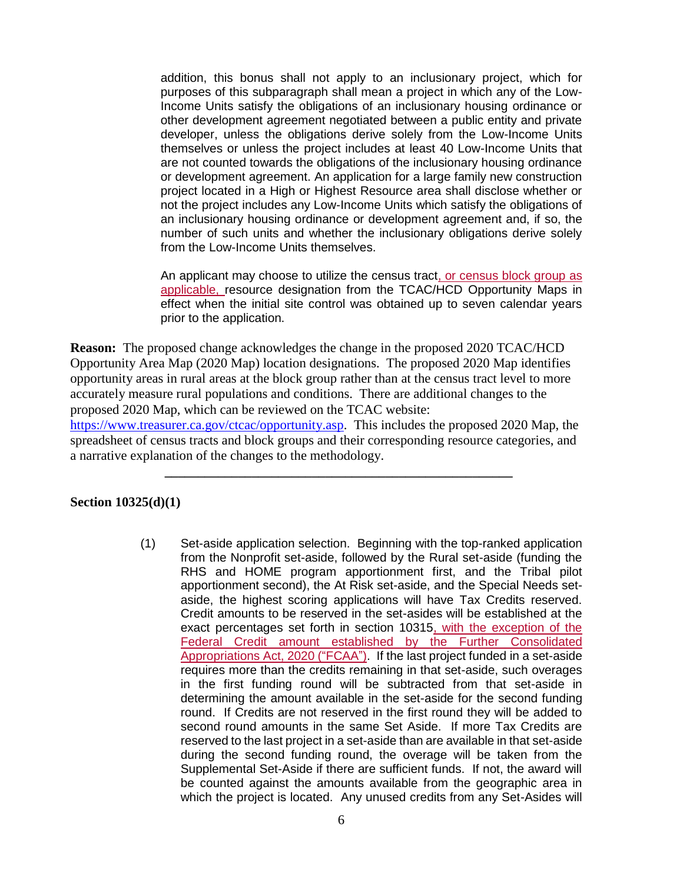addition, this bonus shall not apply to an inclusionary project, which for purposes of this subparagraph shall mean a project in which any of the Low-Income Units satisfy the obligations of an inclusionary housing ordinance or other development agreement negotiated between a public entity and private developer, unless the obligations derive solely from the Low-Income Units themselves or unless the project includes at least 40 Low-Income Units that are not counted towards the obligations of the inclusionary housing ordinance or development agreement. An application for a large family new construction project located in a High or Highest Resource area shall disclose whether or not the project includes any Low-Income Units which satisfy the obligations of an inclusionary housing ordinance or development agreement and, if so, the number of such units and whether the inclusionary obligations derive solely from the Low-Income Units themselves.

An applicant may choose to utilize the census tract, or census block group as applicable, resource designation from the TCAC/HCD Opportunity Maps in effect when the initial site control was obtained up to seven calendar years prior to the application.

**Reason:** The proposed change acknowledges the change in the proposed 2020 TCAC/HCD Opportunity Area Map (2020 Map) location designations. The proposed 2020 Map identifies opportunity areas in rural areas at the block group rather than at the census tract level to more accurately measure rural populations and conditions. There are additional changes to the proposed 2020 Map, which can be reviewed on the TCAC website:

[https://www.treasurer.ca.gov/ctcac/opportunity.asp.](https://www.treasurer.ca.gov/ctcac/opportunity.asp) This includes the proposed 2020 Map, the spreadsheet of census tracts and block groups and their corresponding resource categories, and a narrative explanation of the changes to the methodology.

**\_\_\_\_\_\_\_\_\_\_\_\_\_\_\_\_\_\_\_\_\_\_\_\_\_\_\_\_\_\_\_\_\_\_\_\_\_\_\_\_\_\_\_\_\_\_\_\_\_\_\_\_**

#### **Section 10325(d)(1)**

(1) Set-aside application selection. Beginning with the top-ranked application from the Nonprofit set-aside, followed by the Rural set-aside (funding the RHS and HOME program apportionment first, and the Tribal pilot apportionment second), the At Risk set-aside, and the Special Needs setaside, the highest scoring applications will have Tax Credits reserved. Credit amounts to be reserved in the set-asides will be established at the exact percentages set forth in section 10315, with the exception of the Federal Credit amount established by the Further Consolidated Appropriations Act, 2020 ("FCAA"). If the last project funded in a set-aside requires more than the credits remaining in that set-aside, such overages in the first funding round will be subtracted from that set-aside in determining the amount available in the set-aside for the second funding round. If Credits are not reserved in the first round they will be added to second round amounts in the same Set Aside. If more Tax Credits are reserved to the last project in a set-aside than are available in that set-aside during the second funding round, the overage will be taken from the Supplemental Set-Aside if there are sufficient funds. If not, the award will be counted against the amounts available from the geographic area in which the project is located. Any unused credits from any Set-Asides will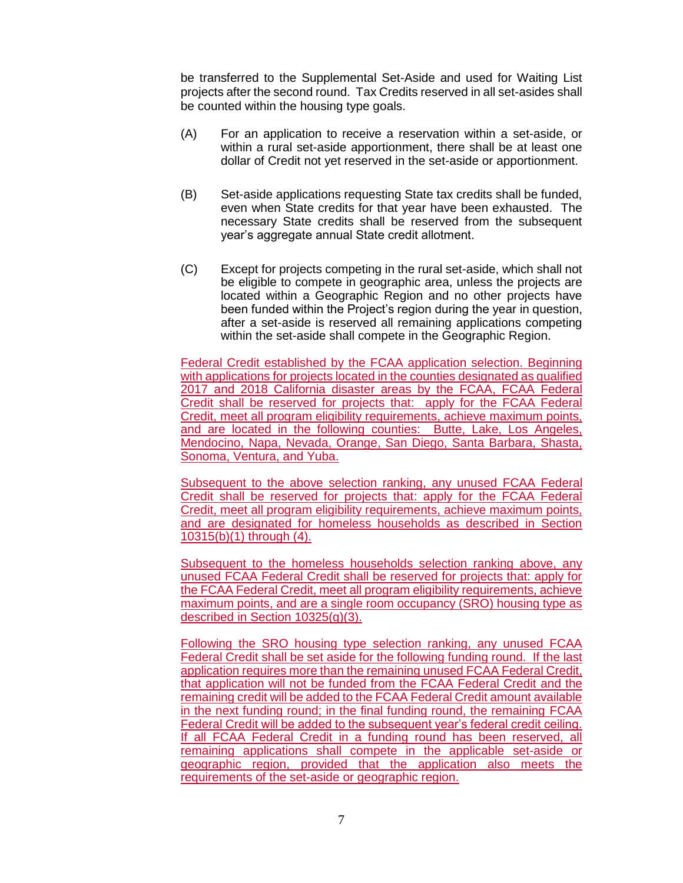be transferred to the Supplemental Set-Aside and used for Waiting List projects after the second round. Tax Credits reserved in all set-asides shall be counted within the housing type goals.

- (A) For an application to receive a reservation within a set-aside, or within a rural set-aside apportionment, there shall be at least one dollar of Credit not yet reserved in the set-aside or apportionment.
- (B) Set-aside applications requesting State tax credits shall be funded, even when State credits for that year have been exhausted. The necessary State credits shall be reserved from the subsequent year's aggregate annual State credit allotment.
- (C) Except for projects competing in the rural set-aside, which shall not be eligible to compete in geographic area, unless the projects are located within a Geographic Region and no other projects have been funded within the Project's region during the year in question, after a set-aside is reserved all remaining applications competing within the set-aside shall compete in the Geographic Region.

Federal Credit established by the FCAA application selection. Beginning with applications for projects located in the counties designated as qualified 2017 and 2018 California disaster areas by the FCAA, FCAA Federal Credit shall be reserved for projects that: apply for the FCAA Federal Credit, meet all program eligibility requirements, achieve maximum points, and are located in the following counties: Butte, Lake, Los Angeles, Mendocino, Napa, Nevada, Orange, San Diego, Santa Barbara, Shasta, Sonoma, Ventura, and Yuba.

Subsequent to the above selection ranking, any unused FCAA Federal Credit shall be reserved for projects that: apply for the FCAA Federal Credit, meet all program eligibility requirements, achieve maximum points, and are designated for homeless households as described in Section 10315(b)(1) through (4).

Subsequent to the homeless households selection ranking above, any unused FCAA Federal Credit shall be reserved for projects that: apply for the FCAA Federal Credit, meet all program eligibility requirements, achieve maximum points, and are a single room occupancy (SRO) housing type as described in Section 10325(g)(3).

Following the SRO housing type selection ranking, any unused FCAA Federal Credit shall be set aside for the following funding round. If the last application requires more than the remaining unused FCAA Federal Credit, that application will not be funded from the FCAA Federal Credit and the remaining credit will be added to the FCAA Federal Credit amount available in the next funding round; in the final funding round, the remaining FCAA Federal Credit will be added to the subsequent year's federal credit ceiling. If all FCAA Federal Credit in a funding round has been reserved, all remaining applications shall compete in the applicable set-aside or geographic region, provided that the application also meets the requirements of the set-aside or geographic region.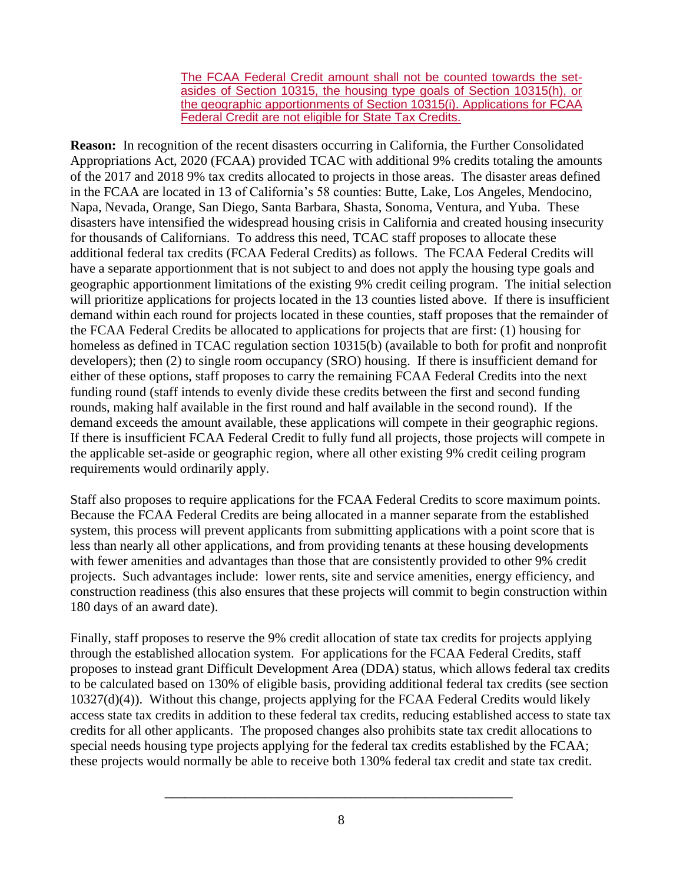The FCAA Federal Credit amount shall not be counted towards the setasides of Section 10315, the housing type goals of Section 10315(h), or the geographic apportionments of Section 10315(i). Applications for FCAA Federal Credit are not eligible for State Tax Credits.

**Reason:** In recognition of the recent disasters occurring in California, the Further Consolidated Appropriations Act, 2020 (FCAA) provided TCAC with additional 9% credits totaling the amounts of the 2017 and 2018 9% tax credits allocated to projects in those areas. The disaster areas defined in the FCAA are located in 13 of California's 58 counties: Butte, Lake, Los Angeles, Mendocino, Napa, Nevada, Orange, San Diego, Santa Barbara, Shasta, Sonoma, Ventura, and Yuba. These disasters have intensified the widespread housing crisis in California and created housing insecurity for thousands of Californians. To address this need, TCAC staff proposes to allocate these additional federal tax credits (FCAA Federal Credits) as follows. The FCAA Federal Credits will have a separate apportionment that is not subject to and does not apply the housing type goals and geographic apportionment limitations of the existing 9% credit ceiling program. The initial selection will prioritize applications for projects located in the 13 counties listed above. If there is insufficient demand within each round for projects located in these counties, staff proposes that the remainder of the FCAA Federal Credits be allocated to applications for projects that are first: (1) housing for homeless as defined in TCAC regulation section 10315(b) (available to both for profit and nonprofit developers); then (2) to single room occupancy (SRO) housing. If there is insufficient demand for either of these options, staff proposes to carry the remaining FCAA Federal Credits into the next funding round (staff intends to evenly divide these credits between the first and second funding rounds, making half available in the first round and half available in the second round). If the demand exceeds the amount available, these applications will compete in their geographic regions. If there is insufficient FCAA Federal Credit to fully fund all projects, those projects will compete in the applicable set-aside or geographic region, where all other existing 9% credit ceiling program requirements would ordinarily apply.

Staff also proposes to require applications for the FCAA Federal Credits to score maximum points. Because the FCAA Federal Credits are being allocated in a manner separate from the established system, this process will prevent applicants from submitting applications with a point score that is less than nearly all other applications, and from providing tenants at these housing developments with fewer amenities and advantages than those that are consistently provided to other 9% credit projects. Such advantages include: lower rents, site and service amenities, energy efficiency, and construction readiness (this also ensures that these projects will commit to begin construction within 180 days of an award date).

Finally, staff proposes to reserve the 9% credit allocation of state tax credits for projects applying through the established allocation system. For applications for the FCAA Federal Credits, staff proposes to instead grant Difficult Development Area (DDA) status, which allows federal tax credits to be calculated based on 130% of eligible basis, providing additional federal tax credits (see section 10327(d)(4)). Without this change, projects applying for the FCAA Federal Credits would likely access state tax credits in addition to these federal tax credits, reducing established access to state tax credits for all other applicants. The proposed changes also prohibits state tax credit allocations to special needs housing type projects applying for the federal tax credits established by the FCAA; these projects would normally be able to receive both 130% federal tax credit and state tax credit.

**\_\_\_\_\_\_\_\_\_\_\_\_\_\_\_\_\_\_\_\_\_\_\_\_\_\_\_\_\_\_\_\_\_\_\_\_\_\_\_\_\_\_\_\_\_\_\_\_\_\_\_\_**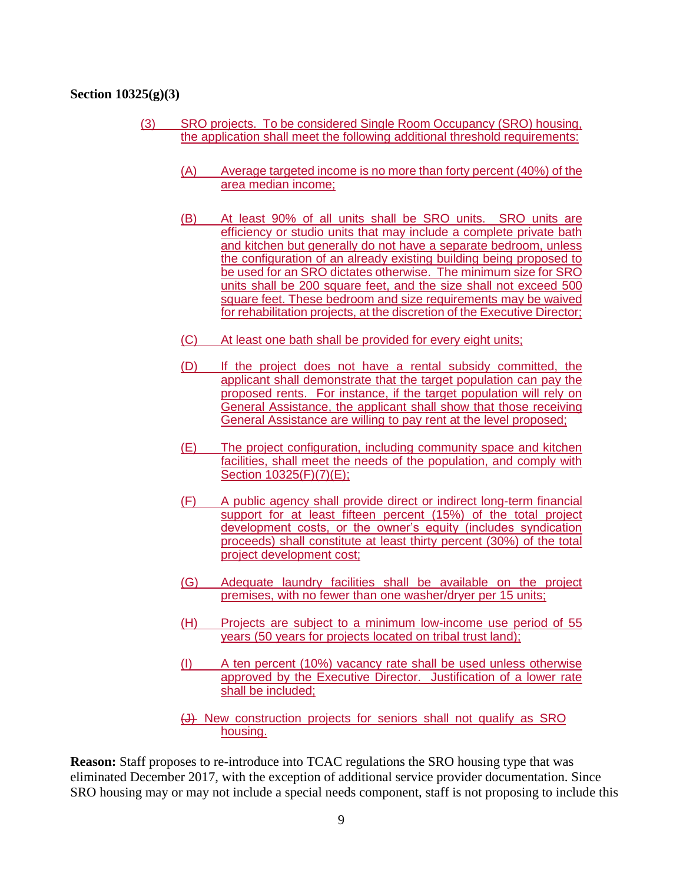#### **Section 10325(g)(3)**

- (3) SRO projects. To be considered Single Room Occupancy (SRO) housing, the application shall meet the following additional threshold requirements:
	- (A) Average targeted income is no more than forty percent (40%) of the area median income;
	- (B) At least 90% of all units shall be SRO units. SRO units are efficiency or studio units that may include a complete private bath and kitchen but generally do not have a separate bedroom, unless the configuration of an already existing building being proposed to be used for an SRO dictates otherwise. The minimum size for SRO units shall be 200 square feet, and the size shall not exceed 500 square feet. These bedroom and size requirements may be waived for rehabilitation projects, at the discretion of the Executive Director;
	- (C) At least one bath shall be provided for every eight units;
	- (D) If the project does not have a rental subsidy committed, the applicant shall demonstrate that the target population can pay the proposed rents. For instance, if the target population will rely on General Assistance, the applicant shall show that those receiving General Assistance are willing to pay rent at the level proposed;
	- (E) The project configuration, including community space and kitchen facilities, shall meet the needs of the population, and comply with Section 10325(F)(7)(E);
	- (F) A public agency shall provide direct or indirect long-term financial support for at least fifteen percent (15%) of the total project development costs, or the owner's equity (includes syndication proceeds) shall constitute at least thirty percent (30%) of the total project development cost;
	- (G) Adequate laundry facilities shall be available on the project premises, with no fewer than one washer/dryer per 15 units;
	- (H) Projects are subject to a minimum low-income use period of 55 years (50 years for projects located on tribal trust land);
	- (I) A ten percent (10%) vacancy rate shall be used unless otherwise approved by the Executive Director. Justification of a lower rate shall be included;
	- (J) New construction projects for seniors shall not qualify as SRO housing.

**Reason:** Staff proposes to re-introduce into TCAC regulations the SRO housing type that was eliminated December 2017, with the exception of additional service provider documentation. Since SRO housing may or may not include a special needs component, staff is not proposing to include this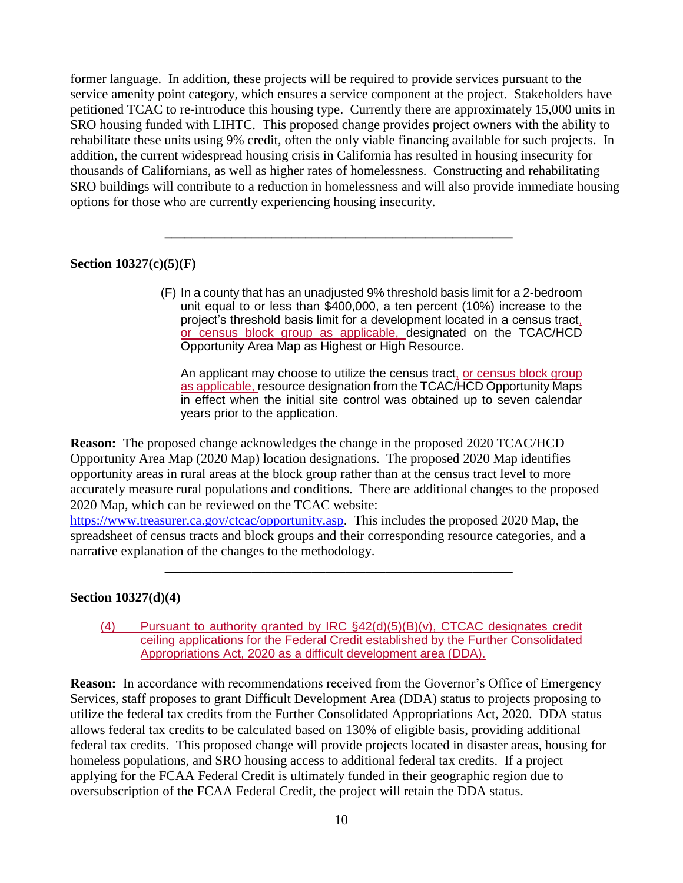former language. In addition, these projects will be required to provide services pursuant to the service amenity point category, which ensures a service component at the project. Stakeholders have petitioned TCAC to re-introduce this housing type. Currently there are approximately 15,000 units in SRO housing funded with LIHTC. This proposed change provides project owners with the ability to rehabilitate these units using 9% credit, often the only viable financing available for such projects. In addition, the current widespread housing crisis in California has resulted in housing insecurity for thousands of Californians, as well as higher rates of homelessness. Constructing and rehabilitating SRO buildings will contribute to a reduction in homelessness and will also provide immediate housing options for those who are currently experiencing housing insecurity.

**\_\_\_\_\_\_\_\_\_\_\_\_\_\_\_\_\_\_\_\_\_\_\_\_\_\_\_\_\_\_\_\_\_\_\_\_\_\_\_\_\_\_\_\_\_\_\_\_\_\_\_\_**

# **Section 10327(c)(5)(F)**

(F) In a county that has an unadjusted 9% threshold basis limit for a 2-bedroom unit equal to or less than \$400,000, a ten percent (10%) increase to the project's threshold basis limit for a development located in a census tract, or census block group as applicable, designated on the TCAC/HCD Opportunity Area Map as Highest or High Resource.

An applicant may choose to utilize the census tract, or census block group as applicable, resource designation from the TCAC/HCD Opportunity Maps in effect when the initial site control was obtained up to seven calendar years prior to the application.

**Reason:** The proposed change acknowledges the change in the proposed 2020 TCAC/HCD Opportunity Area Map (2020 Map) location designations. The proposed 2020 Map identifies opportunity areas in rural areas at the block group rather than at the census tract level to more accurately measure rural populations and conditions. There are additional changes to the proposed 2020 Map, which can be reviewed on the TCAC website:

[https://www.treasurer.ca.gov/ctcac/opportunity.asp.](https://www.treasurer.ca.gov/ctcac/opportunity.asp) This includes the proposed 2020 Map, the spreadsheet of census tracts and block groups and their corresponding resource categories, and a narrative explanation of the changes to the methodology.

**\_\_\_\_\_\_\_\_\_\_\_\_\_\_\_\_\_\_\_\_\_\_\_\_\_\_\_\_\_\_\_\_\_\_\_\_\_\_\_\_\_\_\_\_\_\_\_\_\_\_\_\_**

### **Section 10327(d)(4)**

(4) Pursuant to authority granted by IRC §42(d)(5)(B)(v), CTCAC designates credit ceiling applications for the Federal Credit established by the Further Consolidated Appropriations Act, 2020 as a difficult development area (DDA).

**Reason:** In accordance with recommendations received from the Governor's Office of Emergency Services, staff proposes to grant Difficult Development Area (DDA) status to projects proposing to utilize the federal tax credits from the Further Consolidated Appropriations Act, 2020. DDA status allows federal tax credits to be calculated based on 130% of eligible basis, providing additional federal tax credits. This proposed change will provide projects located in disaster areas, housing for homeless populations, and SRO housing access to additional federal tax credits. If a project applying for the FCAA Federal Credit is ultimately funded in their geographic region due to oversubscription of the FCAA Federal Credit, the project will retain the DDA status.